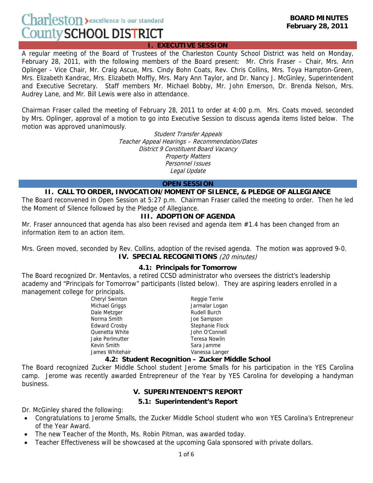# Charleston > excellence is our standard **County SCHOOL DISTRICT**

**I. EXECUTIVE SESSION**

A regular meeting of the Board of Trustees of the Charleston County School District was held on Monday, February 28, 2011, with the following members of the Board present: Mr. Chris Fraser – Chair, Mrs. Ann Oplinger - Vice Chair, Mr. Craig Ascue, Mrs. Cindy Bohn Coats, Rev. Chris Collins, Mrs. Toya Hampton-Green, Mrs. Elizabeth Kandrac, Mrs. Elizabeth Moffly, Mrs. Mary Ann Taylor, and Dr. Nancy J. McGinley, Superintendent and Executive Secretary. Staff members Mr. Michael Bobby, Mr. John Emerson, Dr. Brenda Nelson, Mrs. Audrey Lane, and Mr. Bill Lewis were also in attendance.

Chairman Fraser called the meeting of February 28, 2011 to order at 4:00 p.m. Mrs. Coats moved, seconded by Mrs. Oplinger, approval of a motion to go into Executive Session to discuss agenda items listed below. The motion was approved unanimously.

> Student Transfer Appeals Teacher Appeal Hearings – Recommendation/Dates District 9 Constituent Board Vacancy Property Matters Personnel Issues Legal Update

#### **OPEN SESSION**

### **II. CALL TO ORDER, INVOCATION/MOMENT OF SILENCE, & PLEDGE OF ALLEGIANCE**

The Board reconvened in Open Session at 5:27 p.m. Chairman Fraser called the meeting to order. Then he led the Moment of Silence followed by the Pledge of Allegiance.

### **III. ADOPTION OF AGENDA**

Mr. Fraser announced that agenda has also been revised and agenda item #1.4 has been changed from an information item to an action item.

Mrs. Green moved, seconded by Rev. Collins, adoption of the revised agenda. The motion was approved 9-0. **IV. SPECIAL RECOGNITIONS** (20 minutes)

#### **4.1: Principals for Tomorrow**

The Board recognized Dr. Mentavlos, a retired CCSD administrator who oversees the district's leadership academy and "Principals for Tomorrow" participants (listed below). They are aspiring leaders enrolled in a management college for principals.

> Cheryl Swinton **Reggie Terrie** Michael Griggs **Jarmalar Logan** Dale Metzger **Rudell Burch** Rudell Burch Norma Smith Joe Sampson Edward Crosby **Stephanie Flock** Quenetta White **Connell** John O'Connell Jake Perlmutter **Teresa Nowlin** Kevin Smith Sara Jamme James Whitehair **Vanessa Langer** Vanessa Langer

#### **4.2: Student Recognition – Zucker Middle School**

The Board recognized Zucker Middle School student Jerome Smalls for his participation in the YES Carolina camp. Jerome was recently awarded Entrepreneur of the Year by YES Carolina for developing a handyman business.

## **V. SUPERINTENDENT'S REPORT**

## **5.1: Superintendent's Report**

Dr. McGinley shared the following:

- Congratulations to Jerome Smalls, the Zucker Middle School student who won YES Carolina's Entrepreneur of the Year Award.
- The new Teacher of the Month, Ms. Robin Pitman, was awarded today.
- Teacher Effectiveness will be showcased at the upcoming Gala sponsored with private dollars.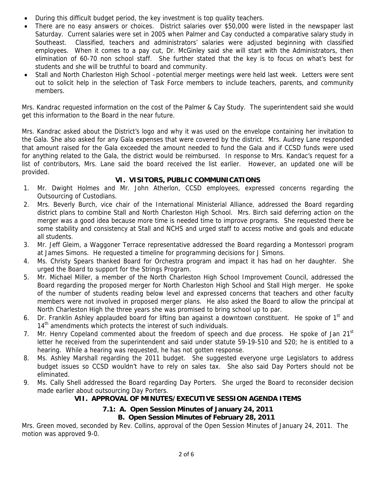- During this difficult budget period, the key investment is top quality teachers.
- There are no easy answers or choices. District salaries over \$50,000 were listed in the newspaper last Saturday. Current salaries were set in 2005 when Palmer and Cay conducted a comparative salary study in Southeast. Classified, teachers and administrators' salaries were adjusted beginning with classified employees. When it comes to a pay cut, Dr. McGinley said she will start with the Administrators, then elimination of 60-70 non school staff. She further stated that the key is to focus on what's best for students and she will be truthful to board and community.
- Stall and North Charleston High School –potential merger meetings were held last week. Letters were sent out to solicit help in the selection of Task Force members to include teachers, parents, and community members.

Mrs. Kandrac requested information on the cost of the Palmer & Cay Study. The superintendent said she would get this information to the Board in the near future.

Mrs. Kandrac asked about the District's logo and why it was used on the envelope containing her invitation to the Gala. She also asked for any Gala expenses that were covered by the district. Mrs. Audrey Lane responded that amount raised for the Gala exceeded the amount needed to fund the Gala and if CCSD funds were used for anything related to the Gala, the district would be reimbursed. In response to Mrs. Kandac's request for a list of contributors, Mrs. Lane said the board received the list earlier. However, an updated one will be provided.

# **VI. VISITORS, PUBLIC COMMUNICATIONS**

- 1. Mr. Dwight Holmes and Mr. John Atherlon, CCSD employees, expressed concerns regarding the Outsourcing of Custodians.
- 2. Mrs. Beverly Burch, vice chair of the International Ministerial Alliance, addressed the Board regarding district plans to combine Stall and North Charleston High School. Mrs. Birch said deferring action on the merger was a good idea because more time is needed time to improve programs. She requested there be some stability and consistency at Stall and NCHS and urged staff to access motive and goals and educate all students.
- 3. Mr. Jeff Gleim, a Waggoner Terrace representative addressed the Board regarding a Montessori program at James Simons. He requested a timeline for programming decisions for J Simons.
- 4. Ms. Christy Spears thanked Board for Orchestra program and impact it has had on her daughter. She urged the Board to support for the Strings Program.
- 5. Mr. Michael Miller, a member of the North Charleston High School Improvement Council, addressed the Board regarding the proposed merger for North Charleston High School and Stall High merger. He spoke of the number of students reading below level and expressed concerns that teachers and other faculty members were not involved in proposed merger plans. He also asked the Board to allow the principal at North Charleston High the three years she was promised to bring school up to par.
- 6. Dr. Franklin Ashley applauded board for lifting ban against a downtown constituent. He spoke of 1<sup>st</sup> and  $14<sup>th</sup>$  amendments which protects the interest of such individuals.
- 7. Mr. Henry Copeland commented about the freedom of speech and due process. He spoke of Jan 21<sup>st</sup> letter he received from the superintendent and said under statute 59-19-510 and 520; he is entitled to a hearing. While a hearing was requested, he has not gotten response.
- 8. Ms. Ashley Marshall regarding the 2011 budget. She suggested everyone urge Legislators to address budget issues so CCSD wouldn't have to rely on sales tax. She also said Day Porters should not be eliminated.
- 9. Ms. Cally Shell addressed the Board regarding Day Porters. She urged the Board to reconsider decision made earlier about outsourcing Day Porters.

# **VII. APPROVAL OF MINUTES/EXECUTIVE SESSION AGENDA ITEMS**

# **7.1: A. Open Session Minutes of January 24, 2011**

# **B. Open Session Minutes of February 28, 2011**

Mrs. Green moved, seconded by Rev. Collins, approval of the Open Session Minutes of January 24, 2011. The motion was approved 9-0.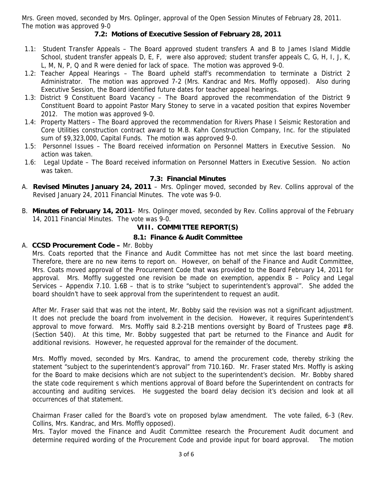Mrs. Green moved, seconded by Mrs. Oplinger, approval of the Open Session Minutes of February 28, 2011. The motion was approved 9-0

## **7.2: Motions of Executive Session of February 28, 2011**

- 1.1: Student Transfer Appeals The Board approved student transfers A and B to James Island Middle School, student transfer appeals D, E, F, were also approved; student transfer appeals C, G, H, I, J, K, L, M, N, P, Q and R were denied for lack of space. The motion was approved 9-0.
- 1.2: Teacher Appeal Hearings The Board upheld staff's recommendation to terminate a District 2 Administrator. The motion was approved 7-2 (Mrs. Kandrac and Mrs. Moffly opposed). Also during Executive Session, the Board identified future dates for teacher appeal hearings.
- 1.3: District 9 Constituent Board Vacancy The Board approved the recommendation of the District 9 Constituent Board to appoint Pastor Mary Stoney to serve in a vacated position that expires November 2012. The motion was approved 9-0.
- 1.4: Property Matters The Board approved the recommendation for Rivers Phase I Seismic Restoration and Core Utilities construction contract award to M.B. Kahn Construction Company, Inc. for the stipulated sum of \$9,323,000, Capital Funds. The motion was approved 9-0.
- 1.5: Personnel Issues The Board received information on Personnel Matters in Executive Session. No action was taken.
- 1.6: Legal Update The Board received information on Personnel Matters in Executive Session. No action was taken.

#### **7.3: Financial Minutes**

- A. **Revised Minutes January 24, 2011** Mrs. Oplinger moved, seconded by Rev. Collins approval of the Revised January 24, 2011 Financial Minutes. The vote was 9-0.
- B. **Minutes of February 14, 2011** Mrs. Oplinger moved, seconded by Rev. Collins approval of the February 14, 2011 Financial Minutes. The vote was 9-0.

#### **VIII. COMMITTEE REPORT(S)**

#### **8.1: Finance & Audit Committee**

#### A. **CCSD Procurement Code –** Mr. Bobby

 Mrs. Coats reported that the Finance and Audit Committee has not met since the last board meeting. Therefore, there are no new items to report on. However, on behalf of the Finance and Audit Committee, Mrs. Coats moved approval of the Procurement Code that was provided to the Board February 14, 2011 for approval. Mrs. Moffly suggested one revision be made on exemption, appendix B – Policy and Legal Services – Appendix 7.10. 1.6B – that is to strike "subject to superintendent's approval". She added the board shouldn't have to seek approval from the superintendent to request an audit.

 After Mr. Fraser said that was not the intent, Mr. Bobby said the revision was not a significant adjustment. It does not preclude the board from involvement in the decision. However, it requires Superintendent's approval to move forward. Mrs. Moffly said 8.2-21B mentions oversight by Board of Trustees page #8. (Section 540). At this time, Mr. Bobby suggested that part be returned to the Finance and Audit for additional revisions. However, he requested approval for the remainder of the document.

 Mrs. Moffly moved, seconded by Mrs. Kandrac, to amend the procurement code, thereby striking the statement "subject to the superintendent's approval" from 710.16D. Mr. Fraser stated Mrs. Moffly is asking for the Board to make decisions which are not subject to the superintendent's decision. Mr. Bobby shared the state code requirement s which mentions approval of Board before the Superintendent on contracts for accounting and auditing services. He suggested the board delay decision it's decision and look at all occurrences of that statement.

 Chairman Fraser called for the Board's vote on proposed bylaw amendment. The vote failed, 6-3 (Rev. Collins, Mrs. Kandrac, and Mrs. Moffly opposed).

 Mrs. Taylor moved the Finance and Audit Committee research the Procurement Audit document and determine required wording of the Procurement Code and provide input for board approval. The motion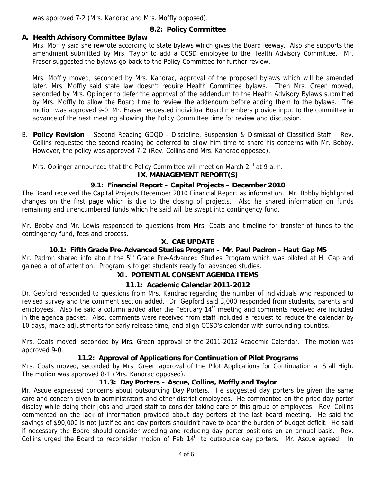was approved 7-2 (Mrs. Kandrac and Mrs. Moffly opposed).

# **8.2: Policy Committee**

## **A. Health Advisory Committee Bylaw**

Mrs. Moffly said she rewrote according to state bylaws which gives the Board leeway. Also she supports the amendment submitted by Mrs. Taylor to add a CCSD employee to the Health Advisory Committee. Mr. Fraser suggested the bylaws go back to the Policy Committee for further review.

Mrs. Moffly moved, seconded by Mrs. Kandrac, approval of the proposed bylaws which will be amended later. Mrs. Moffly said state law doesn't require Health Committee bylaws. Then Mrs. Green moved, seconded by Mrs. Oplinger to defer the approval of the addendum to the Health Advisory Bylaws submitted by Mrs. Moffly to allow the Board time to review the addendum before adding them to the bylaws. The motion was approved 9-0. Mr. Fraser requested individual Board members provide input to the committee in advance of the next meeting allowing the Policy Committee time for review and discussion.

B. **Policy Revision** – Second Reading GDQD - Discipline, Suspension & Dismissal of Classified Staff – Rev. Collins requested the second reading be deferred to allow him time to share his concerns with Mr. Bobby. However, the policy was approved 7-2 (Rev. Collins and Mrs. Kandrac opposed).

Mrs. Oplinger announced that the Policy Committee will meet on March  $2<sup>nd</sup>$  at 9 a.m.

## **IX. MANAGEMENT REPORT(S)**

## **9.1: Financial Report – Capital Projects – December 2010**

The Board received the Capital Projects December 2010 Financial Report as information. Mr. Bobby highlighted changes on the first page which is due to the closing of projects. Also he shared information on funds remaining and unencumbered funds which he said will be swept into contingency fund.

Mr. Bobby and Mr. Lewis responded to questions from Mrs. Coats and timeline for transfer of funds to the contingency fund, fees and process.

## **X. CAE UPDATE**

## **10.1: Fifth Grade Pre-Advanced Studies Program – Mr. Paul Padron - Haut Gap MS**

Mr. Padron shared info about the 5<sup>th</sup> Grade Pre-Advanced Studies Program which was piloted at H. Gap and gained a lot of attention. Program is to get students ready for advanced studies.

## **XI. POTENTIAL CONSENT AGENDA ITEMS**

## **11.1: Academic Calendar 2011-2012**

Dr. Gepford responded to questions from Mrs. Kandrac regarding the number of individuals who responded to revised survey and the comment section added. Dr. Gepford said 3,000 responded from students, parents and employees. Also he said a column added after the February 14<sup>th</sup> meeting and comments received are included in the agenda packet. Also, comments were received from staff included a request to reduce the calendar by 10 days, make adjustments for early release time, and align CCSD's calendar with surrounding counties.

Mrs. Coats moved, seconded by Mrs. Green approval of the 2011-2012 Academic Calendar. The motion was approved 9-0.

#### **11.2: Approval of Applications for Continuation of Pilot Programs**

Mrs. Coats moved, seconded by Mrs. Green approval of the Pilot Applications for Continuation at Stall High. The motion was approved 8-1 (Mrs. Kandrac opposed).

## **11.3: Day Porters – Ascue, Collins, Moffly and Taylor**

Mr. Ascue expressed concerns about outsourcing Day Porters. He suggested day porters be given the same care and concern given to administrators and other district employees. He commented on the pride day porter display while doing their jobs and urged staff to consider taking care of this group of employees. Rev. Collins commented on the lack of information provided about day porters at the last board meeting. He said the savings of \$90,000 is not justified and day porters shouldn't have to bear the burden of budget deficit. He said if necessary the Board should consider weeding and reducing day porter positions on an annual basis. Rev. Collins urged the Board to reconsider motion of Feb  $14<sup>th</sup>$  to outsource day porters. Mr. Ascue agreed. In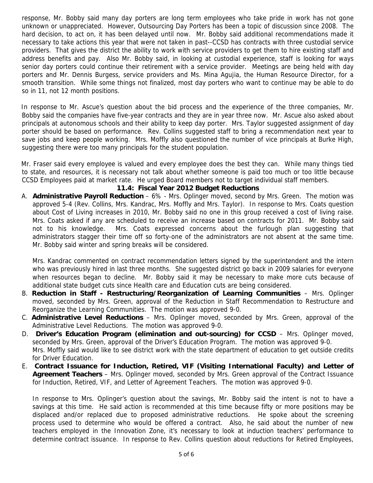response, Mr. Bobby said many day porters are long term employees who take pride in work has not gone unknown or unappreciated. However, Outsourcing Day Porters has been a topic of discussion since 2008. The hard decision, to act on, it has been delayed until now. Mr. Bobby said additional recommendations made it necessary to take actions this year that were not taken in past--CCSD has contracts with three custodial service providers. That gives the district the ability to work with service providers to get them to hire existing staff and address benefits and pay. Also Mr. Bobby said, in looking at custodial experience, staff is looking for ways senior day porters could continue their retirement with a service provider. Meetings are being held with day porters and Mr. Dennis Burgess, service providers and Ms. Mina Agujia, the Human Resource Director, for a smooth transition. While some things not finalized, most day porters who want to continue may be able to do so in 11, not 12 month positions.

In response to Mr. Ascue's question about the bid process and the experience of the three companies, Mr. Bobby said the companies have five-year contracts and they are in year three now. Mr. Ascue also asked about principals at autonomous schools and their ability to keep day porter. Mrs. Taylor suggested assignment of day porter should be based on performance. Rev. Collins suggested staff to bring a recommendation next year to save jobs and keep people working. Mrs. Moffly also questioned the number of vice principals at Burke High, suggesting there were too many principals for the student population.

Mr. Fraser said every employee is valued and every employee does the best they can. While many things tied to state, and resources, it is necessary not talk about whether someone is paid too much or too little because CCSD Employees paid at market rate. He urged Board members not to target individual staff members.

### **11.4: Fiscal Year 2012 Budget Reductions**

A. **Administrative Payroll Reduction** – 6% - Mrs. Oplinger moved, second by Mrs. Green. The motion was approved 5-4 (Rev. Collins, Mrs. Kandrac, Mrs. Moffly and Mrs. Taylor). In response to Mrs. Coats question about Cost of Living increases in 2010, Mr. Bobby said no one in this group received a cost of living raise. Mrs. Coats asked if any are scheduled to receive an increase based on contracts for 2011. Mr. Bobby said not to his knowledge. Mrs. Coats expressed concerns about the furlough plan suggesting that administrators stagger their time off so forty-one of the administrators are not absent at the same time. Mr. Bobby said winter and spring breaks will be considered.

Mrs. Kandrac commented on contract recommendation letters signed by the superintendent and the intern who was previously hired in last three months. She suggested district go back in 2009 salaries for everyone when resources began to decline. Mr. Bobby said it may be necessary to make more cuts because of additional state budget cuts since Health care and Education cuts are being considered.

- B. **Reduction in Staff Restructuring/Reorganization of Learning Communities** Mrs. Oplinger moved, seconded by Mrs. Green, approval of the Reduction in Staff Recommendation to Restructure and Reorganize the Learning Communities. The motion was approved 9-0.
- C. **Administrative Level Reductions** Mrs. Oplinger moved, seconded by Mrs. Green, approval of the Administrative Level Reductions. The motion was approved 9-0.
- D. **Driver's Education Program (elimination and out-sourcing) for CCSD** Mrs. Oplinger moved, seconded by Mrs. Green, approval of the Driver's Education Program. The motion was approved 9-0. Mrs. Moffly said would like to see district work with the state department of education to get outside credits for Driver Education.
- E. **Contract Issuance for Induction, Retired, VIF (Visiting International Faculty) and Letter of Agreement Teachers** – Mrs. Oplinger moved, seconded by Mrs. Green approval of the Contract Issuance for Induction, Retired, VIF, and Letter of Agreement Teachers. The motion was approved 9-0.

In response to Mrs. Oplinger's question about the savings, Mr. Bobby said the intent is not to have a savings at this time. He said action is recommended at this time because fifty or more positions may be displaced and/or replaced due to proposed administrative reductions. He spoke about the screening process used to determine who would be offered a contract. Also, he said about the number of new teachers employed in the Innovation Zone, it's necessary to look at induction teachers' performance to determine contract issuance. In response to Rev. Collins question about reductions for Retired Employees,